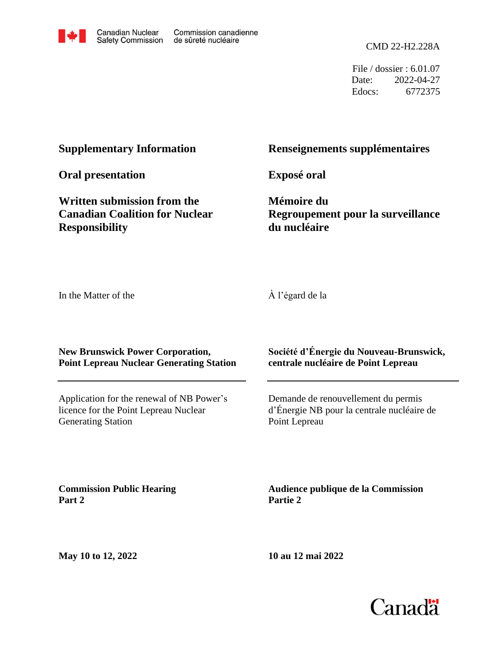

File / dossier : 6.01.07 Date: 2022-04-27 Edocs: 6772375

#### **Supplementary Information**

**Oral presentation**

**Written submission from the Canadian Coalition for Nuclear Responsibility**

#### **Renseignements supplémentaires**

**Exposé oral**

**Mémoire du Regroupement pour la surveillance du nucléaire**

In the Matter of the

À l'égard de la

**New Brunswick Power Corporation, Point Lepreau Nuclear Generating Station**

Application for the renewal of NB Power's licence for the Point Lepreau Nuclear Generating Station

**Société d'Énergie du Nouveau-Brunswick, centrale nucléaire de Point Lepreau**

Demande de renouvellement du permis d'Énergie NB pour la centrale nucléaire de Point Lepreau

**Commission Public Hearing Part 2**

**Audience publique de la Commission Partie 2**

**May 10 to 12, 2022**

**10 au 12 mai 2022**

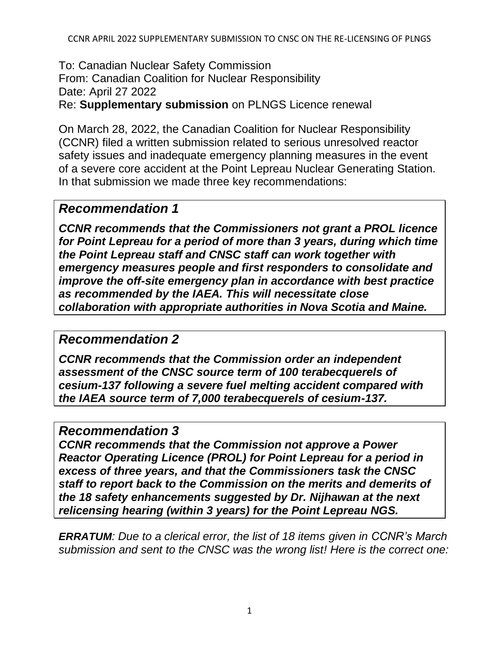To: Canadian Nuclear Safety Commission From: Canadian Coalition for Nuclear Responsibility Date: April 27 2022

Re: **Supplementary submission** on PLNGS Licence renewal

On March 28, 2022, the Canadian Coalition for Nuclear Responsibility (CCNR) filed a written submission related to serious unresolved reactor safety issues and inadequate emergency planning measures in the event of a severe core accident at the Point Lepreau Nuclear Generating Station. In that submission we made three key recommendations:

# *Recommendation 1*

*CCNR recommends that the Commissioners not grant a PROL licence for Point Lepreau for a period of more than 3 years, during which time the Point Lepreau staff and CNSC staff can work together with emergency measures people and first responders to consolidate and improve the off-site emergency plan in accordance with best practice as recommended by the IAEA. This will necessitate close collaboration with appropriate authorities in Nova Scotia and Maine.*

# *Recommendation 2*

*CCNR recommends that the Commission order an independent assessment of the CNSC source term of 100 terabecquerels of cesium-137 following a severe fuel melting accident compared with the IAEA source term of 7,000 terabecquerels of cesium-137.*

# *Recommendation 3*

*CCNR recommends that the Commission not approve a Power Reactor Operating Licence (PROL) for Point Lepreau for a period in excess of three years, and that the Commissioners task the CNSC staff to report back to the Commission on the merits and demerits of the 18 safety enhancements suggested by Dr. Nijhawan at the next relicensing hearing (within 3 years) for the Point Lepreau NGS.*

*ERRATUM: Due to a clerical error, the list of 18 items given in CCNR's March submission and sent to the CNSC was the wrong list! Here is the correct one:*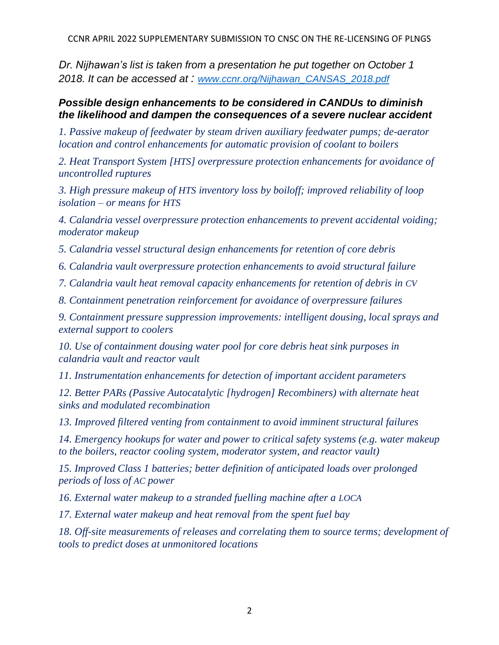CCNR APRIL 2022 SUPPLEMENTARY SUBMISSION TO CNSC ON THE RE-LICENSING OF PLNGS

*Dr. Nijhawan's list is taken from a presentation he put together on October 1 2018. It can be accessed at : [www.ccnr.org/Nijhawan\\_CANSAS\\_2018.pdf](http://www.ccnr.org/Nijhawan_CANSAS_2018.pdf)*

#### *Possible design enhancements to be considered in CANDUs to diminish the likelihood and dampen the consequences of a severe nuclear accident*

*1. Passive makeup of feedwater by steam driven auxiliary feedwater pumps; de-aerator location and control enhancements for automatic provision of coolant to boilers* 

*2. Heat Transport System [HTS] overpressure protection enhancements for avoidance of uncontrolled ruptures* 

*3. High pressure makeup of HTS inventory loss by boiloff; improved reliability of loop isolation – or means for HTS*

*4. Calandria vessel overpressure protection enhancements to prevent accidental voiding; moderator makeup*

*5. Calandria vessel structural design enhancements for retention of core debris* 

*6. Calandria vault overpressure protection enhancements to avoid structural failure* 

*7. Calandria vault heat removal capacity enhancements for retention of debris in CV* 

*8. Containment penetration reinforcement for avoidance of overpressure failures* 

*9. Containment pressure suppression improvements: intelligent dousing, local sprays and external support to coolers* 

*10. Use of containment dousing water pool for core debris heat sink purposes in calandria vault and reactor vault* 

*11. Instrumentation enhancements for detection of important accident parameters* 

*12. Better PARs (Passive Autocatalytic [hydrogen] Recombiners) with alternate heat sinks and modulated recombination*

*13. Improved filtered venting from containment to avoid imminent structural failures* 

*14. Emergency hookups for water and power to critical safety systems (e.g. water makeup to the boilers, reactor cooling system, moderator system, and reactor vault)* 

*15. Improved Class 1 batteries; better definition of anticipated loads over prolonged periods of loss of AC power*

*16. External water makeup to a stranded fuelling machine after a LOCA*

*17. External water makeup and heat removal from the spent fuel bay* 

18. Off-site measurements of releases and correlating them to source terms; development of *tools to predict doses at unmonitored locations*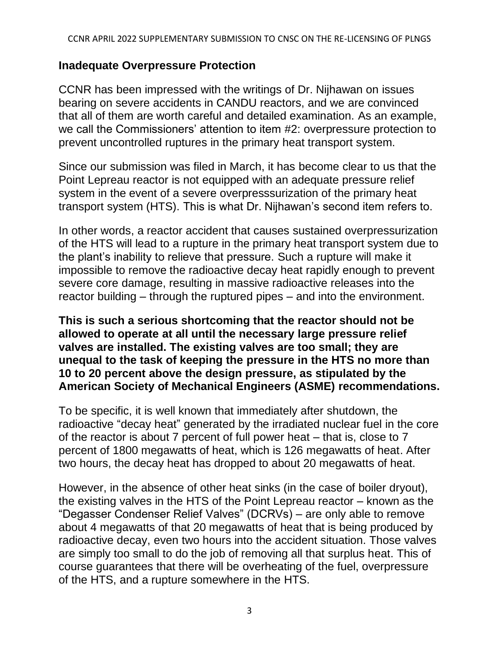# **Inadequate Overpressure Protection**

CCNR has been impressed with the writings of Dr. Nijhawan on issues bearing on severe accidents in CANDU reactors, and we are convinced that all of them are worth careful and detailed examination. As an example, we call the Commissioners' attention to item #2: overpressure protection to prevent uncontrolled ruptures in the primary heat transport system.

Since our submission was filed in March, it has become clear to us that the Point Lepreau reactor is not equipped with an adequate pressure relief system in the event of a severe overpresssurization of the primary heat transport system (HTS). This is what Dr. Nijhawan's second item refers to.

In other words, a reactor accident that causes sustained overpressurization of the HTS will lead to a rupture in the primary heat transport system due to the plant's inability to relieve that pressure. Such a rupture will make it impossible to remove the radioactive decay heat rapidly enough to prevent severe core damage, resulting in massive radioactive releases into the reactor building – through the ruptured pipes – and into the environment.

### **This is such a serious shortcoming that the reactor should not be allowed to operate at all until the necessary large pressure relief valves are installed. The existing valves are too small; they are unequal to the task of keeping the pressure in the HTS no more than 10 to 20 percent above the design pressure, as stipulated by the American Society of Mechanical Engineers (ASME) recommendations.**

To be specific, it is well known that immediately after shutdown, the radioactive "decay heat" generated by the irradiated nuclear fuel in the core of the reactor is about 7 percent of full power heat – that is, close to 7 percent of 1800 megawatts of heat, which is 126 megawatts of heat. After two hours, the decay heat has dropped to about 20 megawatts of heat.

However, in the absence of other heat sinks (in the case of boiler dryout), the existing valves in the HTS of the Point Lepreau reactor – known as the "Degasser Condenser Relief Valves" (DCRVs) – are only able to remove about 4 megawatts of that 20 megawatts of heat that is being produced by radioactive decay, even two hours into the accident situation. Those valves are simply too small to do the job of removing all that surplus heat. This of course guarantees that there will be overheating of the fuel, overpressure of the HTS, and a rupture somewhere in the HTS.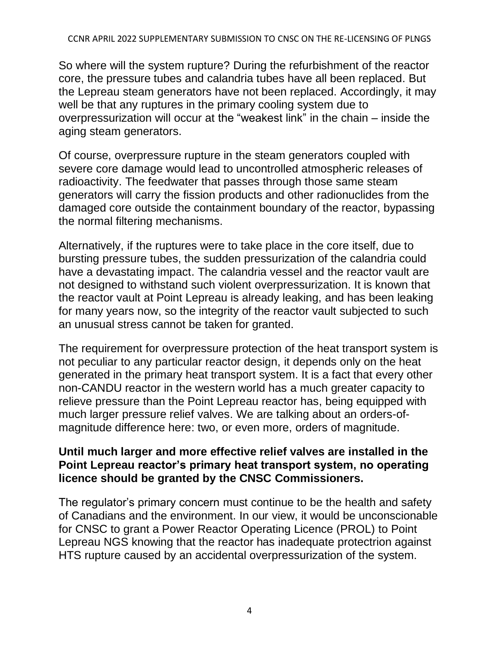So where will the system rupture? During the refurbishment of the reactor core, the pressure tubes and calandria tubes have all been replaced. But the Lepreau steam generators have not been replaced. Accordingly, it may well be that any ruptures in the primary cooling system due to overpressurization will occur at the "weakest link" in the chain – inside the aging steam generators.

Of course, overpressure rupture in the steam generators coupled with severe core damage would lead to uncontrolled atmospheric releases of radioactivity. The feedwater that passes through those same steam generators will carry the fission products and other radionuclides from the damaged core outside the containment boundary of the reactor, bypassing the normal filtering mechanisms.

Alternatively, if the ruptures were to take place in the core itself, due to bursting pressure tubes, the sudden pressurization of the calandria could have a devastating impact. The calandria vessel and the reactor vault are not designed to withstand such violent overpressurization. It is known that the reactor vault at Point Lepreau is already leaking, and has been leaking for many years now, so the integrity of the reactor vault subjected to such an unusual stress cannot be taken for granted.

The requirement for overpressure protection of the heat transport system is not peculiar to any particular reactor design, it depends only on the heat generated in the primary heat transport system. It is a fact that every other non-CANDU reactor in the western world has a much greater capacity to relieve pressure than the Point Lepreau reactor has, being equipped with much larger pressure relief valves. We are talking about an orders-ofmagnitude difference here: two, or even more, orders of magnitude.

## **Until much larger and more effective relief valves are installed in the Point Lepreau reactor's primary heat transport system, no operating licence should be granted by the CNSC Commissioners.**

The regulator's primary concern must continue to be the health and safety of Canadians and the environment. In our view, it would be unconscionable for CNSC to grant a Power Reactor Operating Licence (PROL) to Point Lepreau NGS knowing that the reactor has inadequate protectrion against HTS rupture caused by an accidental overpressurization of the system.